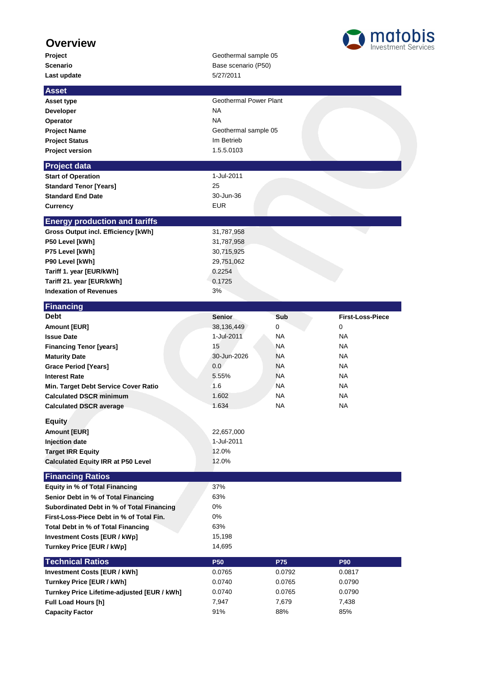## **Overview**

**Last update** 5/27/2011

## **Project Geothermal sample 05 Scenario** Base scenario (P50)



| <b>Asset</b>                                                     |                        |           |                         |
|------------------------------------------------------------------|------------------------|-----------|-------------------------|
| Asset type                                                       | Geothermal Power Plant |           |                         |
| Developer                                                        | <b>NA</b>              |           |                         |
| Operator                                                         | <b>NA</b>              |           |                         |
| <b>Project Name</b>                                              | Geothermal sample 05   |           |                         |
| <b>Project Status</b>                                            | Im Betrieb             |           |                         |
| <b>Project version</b>                                           | 1.5.5.0103             |           |                         |
| <b>Project data</b>                                              |                        |           |                         |
| <b>Start of Operation</b>                                        | 1-Jul-2011             |           |                         |
| <b>Standard Tenor [Years]</b>                                    | 25                     |           |                         |
| <b>Standard End Date</b>                                         | 30-Jun-36              |           |                         |
| <b>Currency</b>                                                  | <b>EUR</b>             |           |                         |
|                                                                  |                        |           |                         |
| <b>Energy production and tariffs</b>                             |                        |           |                         |
| <b>Gross Output incl. Efficiency [kWh]</b>                       | 31,787,958             |           |                         |
| P50 Level [kWh]                                                  | 31,787,958             |           |                         |
| P75 Level [kWh]                                                  | 30,715,925             |           |                         |
| P90 Level [kWh]                                                  | 29,751,062             |           |                         |
| Tariff 1. year [EUR/kWh]                                         | 0.2254                 |           |                         |
| Tariff 21. year [EUR/kWh]                                        | 0.1725                 |           |                         |
| <b>Indexation of Revenues</b>                                    | 3%                     |           |                         |
| <b>Financing</b>                                                 |                        |           |                         |
| <b>Debt</b>                                                      | <b>Senior</b>          | Sub       | <b>First-Loss-Piece</b> |
| Amount [EUR]                                                     | 38,136,449             | 0         | $\mathbf 0$             |
| <b>Issue Date</b>                                                | 1-Jul-2011             | NA        | NA                      |
| <b>Financing Tenor [years]</b>                                   | 15                     | NA.       | <b>NA</b>               |
| <b>Maturity Date</b>                                             | 30-Jun-2026            | NA.       | <b>NA</b>               |
| <b>Grace Period [Years]</b>                                      | 0.0                    | NA        | <b>NA</b>               |
| <b>Interest Rate</b>                                             | 5.55%                  | NA        | NA                      |
| Min. Target Debt Service Cover Ratio                             | 1.6                    | NA.       | NA.                     |
| <b>Calculated DSCR minimum</b>                                   | 1.602                  | NA.       | NA                      |
| <b>Calculated DSCR average</b>                                   | 1.634                  | <b>NA</b> | <b>NA</b>               |
| <b>Equity</b>                                                    |                        |           |                         |
| <b>Amount [EUR]</b>                                              | 22,657,000             |           |                         |
| <b>Injection date</b>                                            | 1-Jul-2011             |           |                         |
| <b>Target IRR Equity</b>                                         | 12.0%                  |           |                         |
| <b>Calculated Equity IRR at P50 Level</b>                        | 12.0%                  |           |                         |
|                                                                  |                        |           |                         |
| <b>Financing Ratios</b><br><b>Equity in % of Total Financing</b> | 37%                    |           |                         |
| Senior Debt in % of Total Financing                              | 63%                    |           |                         |
| Subordinated Debt in % of Total Financing                        | 0%                     |           |                         |
| First-Loss-Piece Debt in % of Total Fin.                         | 0%                     |           |                         |
| Total Debt in % of Total Financing                               | 63%                    |           |                         |
| <b>Investment Costs [EUR / kWp]</b>                              | 15,198                 |           |                         |
| Turnkey Price [EUR / kWp]                                        | 14,695                 |           |                         |
|                                                                  |                        |           |                         |
| <b>Technical Ratios</b>                                          | <b>P50</b>             | P75       | P90                     |
| <b>Investment Costs [EUR / kWh]</b>                              | 0.0765                 | 0.0792    | 0.0817                  |
| Turnkey Price [EUR / kWh]                                        | 0.0740                 | 0.0765    | 0.0790                  |
| Turnkey Price Lifetime-adjusted [EUR / kWh]                      | 0.0740                 | 0.0765    | 0.0790                  |
| Full Load Hours [h]                                              | 7,947                  | 7,679     | 7,438                   |
| <b>Capacity Factor</b>                                           | 91%                    | 88%       | 85%                     |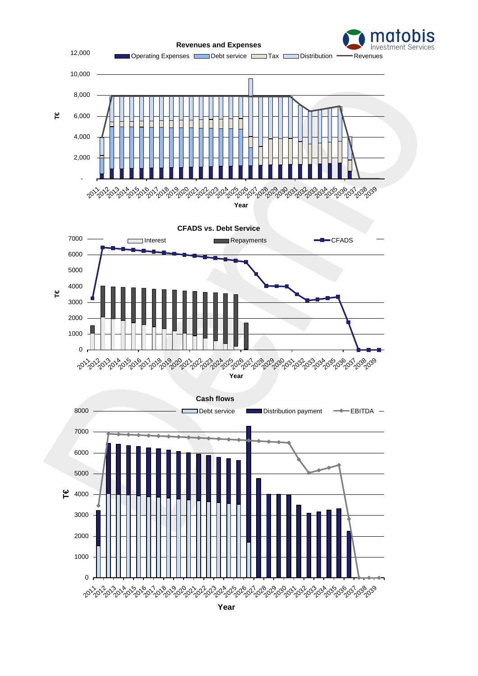

**Year**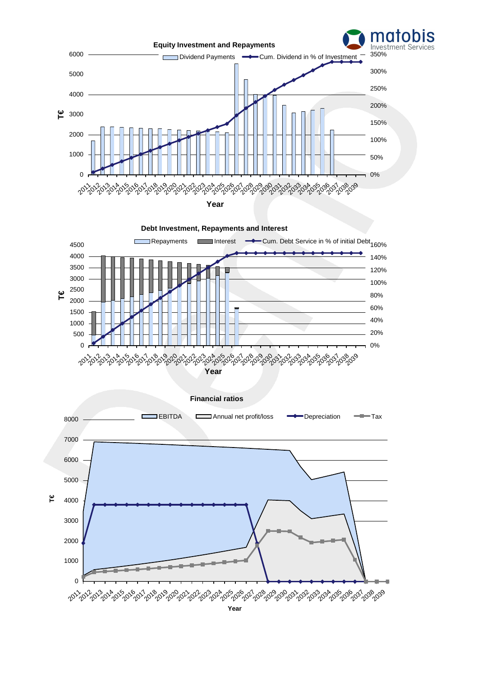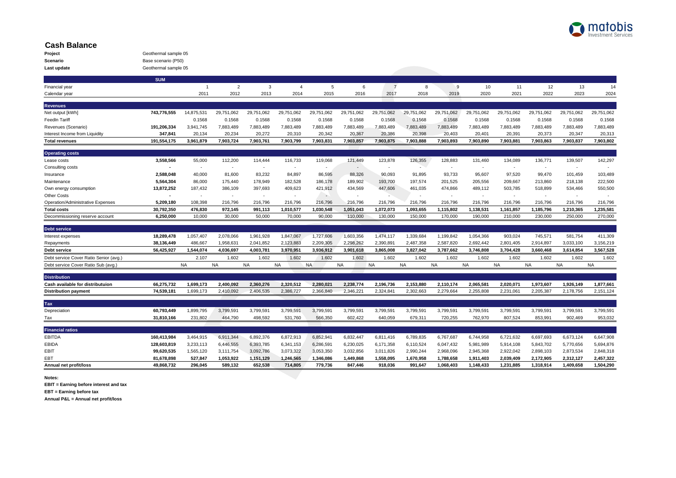

## **Cash Balance**

| Project     | Geothermal sample 05 |
|-------------|----------------------|
| Scenario    | Base scenario (P50)  |
| Last update | Geothermal sample 05 |

|                                                         | <b>SUM</b>             |                          |                          |                     |                     |                     |                          |                     |                     |                     |                     |                    |                     |                     |                     |
|---------------------------------------------------------|------------------------|--------------------------|--------------------------|---------------------|---------------------|---------------------|--------------------------|---------------------|---------------------|---------------------|---------------------|--------------------|---------------------|---------------------|---------------------|
| Financial year                                          |                        | $\overline{1}$           | $\overline{2}$           | 3                   | $\overline{4}$      | 5                   | 6                        | $\overline{7}$      | 8                   | 9                   | 10                  | 11                 | 12                  | 13                  | 14                  |
| Calendar year                                           |                        | 2011                     | 2012                     | 2013                | 2014                | 2015                | 2016                     | 2017                | 2018                | 2019                | 2020                | 2021               | 2022                | 2023                | 2024                |
|                                                         |                        |                          |                          |                     |                     |                     |                          |                     |                     |                     |                     |                    |                     |                     |                     |
| <b>Revenues</b>                                         |                        |                          |                          |                     |                     |                     |                          |                     |                     |                     | 29.751.062          |                    |                     |                     |                     |
| Net output [kWh]                                        | 743,776,555            | 14,875,531               | 29,751,062<br>0.1568     | 29,751,062          | 29,751,062          | 29,751,062          | 29,751,062               | 29,751,062          | 29,751,062          | 29,751,062          |                     | 29,751,062         | 29,751,062          | 29,751,062          | 29,751,062          |
| <b>FeedIn Tariff</b>                                    |                        | 0.1568                   |                          | 0.1568              | 0.1568              | 0.1568              | 0.1568                   | 0.1568              | 0.1568              | 0.1568              | 0.1568              | 0.1568             | 0.1568              | 0.1568              | 0.1568              |
| Revenues (Scenario)                                     | 191,206,334            | 3,941,745                | 7,883,489                | 7,883,489           | 7,883,489           | 7,883,489           | 7,883,489                | 7,883,489           | 7,883,489           | 7,883,489           | 7,883,489           | 7,883,489          | 7,883,489           | 7,883,489           | 7,883,489           |
| Interest Income from Liquidity<br><b>Total revenues</b> | 347,841<br>191,554,175 | 20,134<br>3,961,879      | 20,234<br>7,903,724      | 20,272<br>7,903,761 | 20,310<br>7,903,799 | 20,342<br>7,903,831 | 20,367<br>7,903,857      | 20,386<br>7,903,875 | 20,398<br>7,903,888 | 20,403<br>7,903,893 | 20,401<br>7,903,890 | 20,391<br>7,903,88 | 20,373<br>7,903,863 | 20,347<br>7,903,837 | 20,313<br>7,903,802 |
|                                                         |                        |                          |                          |                     |                     |                     |                          |                     |                     |                     |                     |                    |                     |                     |                     |
| <b>Operating costs</b>                                  |                        |                          |                          |                     |                     |                     |                          |                     |                     |                     |                     |                    |                     |                     |                     |
| Lease costs                                             | 3,558,566              | 55,000                   | 112,200                  | 114,444             | 116,733             | 119,068             | 121,449                  | 123,878             | 126,355             | 128,883             | 131,460             | 134,089            | 136,771             | 139,507             | 142,297             |
| Consulting costs                                        |                        | $\sim$                   | $\sim$                   | $\sim$              | $\sim$              | $\sim$              | $\sim$                   | $\sim$              | $\sim$              | $\sim$              | $\sim$              | $\sim$             | $\sim$              | $\sim$              | $\sim$              |
| Insurance                                               | 2,588,048              | 40,000                   | 81,600                   | 83,232              | 84,897              | 86,595              | 88,326                   | 90,093              | 91,895              | 93,733              | 95,607              | 97,520             | 99,470              | 101,459             | 103,489             |
| Maintenance                                             | 5,564,304              | 86,000                   | 175,440                  | 178,949             | 182,528             | 186,178             | 189,902                  | 193,700             | 197,574             | 201,525             | 205,556             | 209,667            | 213,860             | 218,138             | 222,500             |
| Own energy consumption                                  | 13,872,252             | 187,432                  | 386,109                  | 397,693             | 409,623             | 421,912             | 434,569                  | 447,606             | 461,035             | 474,866             | 489,112             | 503,785            | 518,899             | 534,466             | 550,500             |
| <b>Other Costs</b>                                      |                        | $\overline{\phantom{a}}$ | $\overline{\phantom{a}}$ | $\sim$              |                     | $\sim$              | $\overline{\phantom{a}}$ |                     | $\sim$              | $\sim$              | $\sim$              | $\sim$             | $\sim$              | $\sim$              | $\sim$              |
| Operation/Administrative Expenses                       | 5,209,180              | 108,398                  | 216,796                  | 216,796             | 216,796             | 216,796             | 216,796                  | 216,796             | 216,796             | 216,796             | 216,796             | 216,796            | 216,796             | 216,796             | 216,796             |
| <b>Total costs</b>                                      | 30,792,350             | 476,830                  | 972,145                  | 991,113             | 1,010,577           | 1,030,548           | 1,051,043                | 1,072,073           | 1,093,655           | 1,115,802           | 1,138,531           | 1,161,857          | 1,185,796           | 1,210,365           | 1,235,581           |
| Decommissioning reserve account                         | 6,250,000              | 10,000                   | 30,000                   | 50,000              | 70,000              | 90,000              | 110,000                  | 130,000             | 150,000             | 170,000             | 190,000             | 210,000            | 230,000             | 250,000             | 270,000             |
|                                                         |                        |                          |                          |                     |                     |                     |                          |                     |                     |                     |                     |                    |                     |                     |                     |
| <b>Debt service</b><br>Interest expenses                | 18,289,478             | 1,057,407                | 2,078,066                | 1.961.928           | 1,847,067           | 1.727.606           | 1,603,356                | 1.474.117           | 1.339.684           | 1.199.842           | 1,054,366           | 903.024            | 745.571             | 581.754             | 411,309             |
| Repayments                                              | 38,136,449             | 486.667                  | 1,958,631                | 2,041,852           | 2,123,883           | 2,209,305           | 2.298.262                | 2.390.891           | 2.487.358           | 2.587.820           | 2.692.442           | 2,801,405          | 2.914.897           | 3.033.100           | 3,156,219           |
| <b>Debt service</b>                                     | 56,425,927             | 1,544,074                | 4,036,697                | 4,003,781           | 3,970,951           | 3,936,912           | 3.901.618                | 3,865,008           | 3.827.042           | 3,787,662           | 3,746,808           | 3,704,428          | 3.660.468           | 3,614,854           | 3,567,528           |
| Debt service Cover Ratio Senior (avg.)                  |                        | 2.107                    | 1.602                    | 1.602               | 1.602               | 1.602               | 1.602                    | 1.602               | 1.602               | 1.602               | 1.602               | 1.602              | 1.602               | 1.602               | 1.602               |
| Debt service Cover Ratio Sub (avg.)                     |                        | <b>NA</b>                | <b>NA</b>                | <b>NA</b>           | <b>NA</b>           | <b>NA</b>           | <b>NA</b>                | <b>NA</b>           | <b>NA</b>           | <b>NA</b>           | <b>NA</b>           | <b>NA</b>          | <b>NA</b>           | <b>NA</b>           | <b>NA</b>           |
|                                                         |                        |                          |                          |                     |                     |                     |                          |                     |                     |                     |                     |                    |                     |                     |                     |
| <b>Distribution</b>                                     |                        |                          |                          |                     |                     |                     |                          |                     |                     |                     |                     |                    |                     |                     |                     |
| Cash available for distributuion                        | 66,275,732             | 1,699,173                | 2,400,092                | 2,360,276           | 2,320,512           | 2,280,021           | 2,238,774                | 2,196,736           | 2,153,880           | 2,110,174           | 2,065,581           | 2,020,071          | 1,973,607           | 1,926,149           | 1,877,661           |
| <b>Distribution payment</b>                             | 74,539,181             | 1,699,173                | 2,410,092                | 2,406,535           | 2,386,727           | 2,366,840           | 2,346,221                | 2,324,841           | 2,302,663           | 2,279,664           | 2,255,808           | 2,231,061          | 2,205,387           | 2,178,756           | 2,151,124           |
| Tax                                                     |                        |                          |                          |                     |                     |                     |                          |                     |                     |                     |                     |                    |                     |                     |                     |
| Depreciation                                            | 60,793,449             | 1,899,795                | 3,799,591                | 3,799,591           | 3,799,591           | 3,799,591           | 3,799,591                | 3,799,591           | 3,799,591           | 3.799.591           | 3.799.591           | 3.799.591          | 3.799.591           | 3.799.591           | 3,799,591           |
| Tax                                                     | 31,810,166             | 231,802                  | 464,790                  | 498,592             | 531,760             | 566,350             | 602,422                  | 640,059             | 679,311             | 720,255             | 762,970             | 807,524            | 853,991             | 902,469             | 953,032             |
|                                                         |                        |                          |                          |                     |                     |                     |                          |                     |                     |                     |                     |                    |                     |                     |                     |
| <b>Financial ratios</b>                                 |                        |                          |                          |                     |                     |                     |                          |                     |                     |                     |                     |                    |                     |                     |                     |
| <b>EBITDA</b>                                           | 160,413,984            | 3,464,915                | 6,911,344                | 6,892,376           | 6,872,913           | 6,852,941           | 6,832,447                | 6,811,416           | 6,789,835           | 6,767,687           | 6,744,958           | 6,721,632          | 6,697,693           | 6,673,124           | 6,647,908           |
| <b>EBIDA</b>                                            | 128,603,819            | 3,233,113                | 6,446,555                | 6,393,785           | 6,341,153           | 6,286,591           | 6,230,025                | 6,171,358           | 6,110,524           | 6,047,432           | 5,981,989           | 5,914,108          | 5,843,702           | 5,770,656           | 5,694,876           |
| <b>EBIT</b>                                             | 99,620,535             | 1,565,120                | 3,111,754                | 3,092,786           | 3,073,322           | 3,053,350           | 3,032,856                | 3,011,826           | 2.990.244           | 2,968,096           | 2,945,368           | 2,922,042          | 2,898,103           | 2,873,534           | 2,848,318           |
| EBT                                                     | 81,678,898             | 527,847                  | 1,053,922                | 1,151,129           | 1,246,565           | 1,346,086           | 1,449,868                | 1,558,095           | 1,670,958           | 1,788,658           | 1,911,403           | 2,039,409          | 2.172.905           | 2,312,127           | 2,457,322           |
| Annual net profit/loss                                  | 49,868,732             | 296,045                  | 589,132                  | 652,538             | 714,805             | 779,736             | 847.446                  | 918.036             | 991.647             | 1.068.403           | 1,148,433           | 1,231,885          | 1,318,914           | 1,409,658           | 1,504,290           |

**Notes:**

**EBIT = Earning before interest and tax**

**EBT = Earning before tax**

**Annual P&L = Annual net profit/loss**